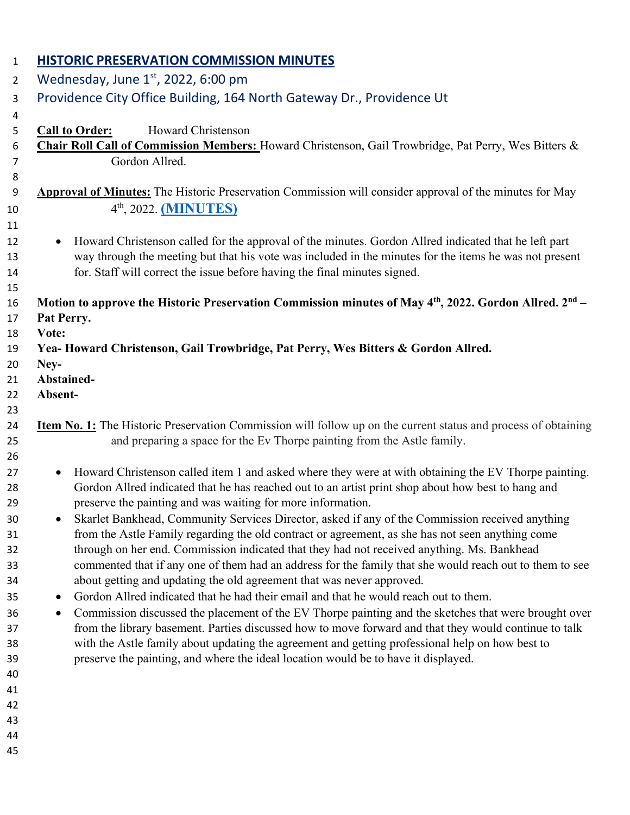| $\mathbf{1}$   | <b>HISTORIC PRESERVATION COMMISSION MINUTES</b>                                                                                                                                                                            |
|----------------|----------------------------------------------------------------------------------------------------------------------------------------------------------------------------------------------------------------------------|
| $\overline{2}$ | Wednesday, June $1st$ , 2022, 6:00 pm                                                                                                                                                                                      |
| 3              | Providence City Office Building, 164 North Gateway Dr., Providence Ut                                                                                                                                                      |
| 4              |                                                                                                                                                                                                                            |
| 5              | <b>Call to Order:</b><br>Howard Christenson                                                                                                                                                                                |
| 6              | Chair Roll Call of Commission Members: Howard Christenson, Gail Trowbridge, Pat Perry, Wes Bitters &                                                                                                                       |
| $\overline{7}$ | Gordon Allred.                                                                                                                                                                                                             |
| 8<br>9         | <b>Approval of Minutes:</b> The Historic Preservation Commission will consider approval of the minutes for May                                                                                                             |
| 10             | 4 <sup>th</sup> , 2022. ( <b>MINUTES</b> )                                                                                                                                                                                 |
| 11             |                                                                                                                                                                                                                            |
| 12             | Howard Christenson called for the approval of the minutes. Gordon Allred indicated that he left part<br>$\bullet$                                                                                                          |
| 13             | way through the meeting but that his vote was included in the minutes for the items he was not present                                                                                                                     |
| 14             | for. Staff will correct the issue before having the final minutes signed.                                                                                                                                                  |
| 15             |                                                                                                                                                                                                                            |
| 16             | Motion to approve the Historic Preservation Commission minutes of May 4 <sup>th</sup> , 2022. Gordon Allred. 2 <sup>nd</sup> –                                                                                             |
| 17             | Pat Perry.<br>Vote:                                                                                                                                                                                                        |
| 18<br>19       | Yea-Howard Christenson, Gail Trowbridge, Pat Perry, Wes Bitters & Gordon Allred.                                                                                                                                           |
| 20             | Ney-                                                                                                                                                                                                                       |
| 21             | Abstained-                                                                                                                                                                                                                 |
| 22             | Absent-                                                                                                                                                                                                                    |
| 23             |                                                                                                                                                                                                                            |
| 24             | <b>Item No. 1:</b> The Historic Preservation Commission will follow up on the current status and process of obtaining                                                                                                      |
| 25<br>26       | and preparing a space for the Ev Thorpe painting from the Astle family.                                                                                                                                                    |
| 27             | Howard Christenson called item 1 and asked where they were at with obtaining the EV Thorpe painting.<br>$\bullet$                                                                                                          |
| 28             | Gordon Allred indicated that he has reached out to an artist print shop about how best to hang and                                                                                                                         |
| 29             | preserve the painting and was waiting for more information.                                                                                                                                                                |
| 30             | Skarlet Bankhead, Community Services Director, asked if any of the Commission received anything                                                                                                                            |
| 31             | from the Astle Family regarding the old contract or agreement, as she has not seen anything come                                                                                                                           |
| 32             | through on her end. Commission indicated that they had not received anything. Ms. Bankhead                                                                                                                                 |
| 33             | commented that if any one of them had an address for the family that she would reach out to them to see                                                                                                                    |
| 34             | about getting and updating the old agreement that was never approved.                                                                                                                                                      |
| 35             | Gordon Allred indicated that he had their email and that he would reach out to them.<br>$\bullet$                                                                                                                          |
| 36             | Commission discussed the placement of the EV Thorpe painting and the sketches that were brought over<br>$\bullet$<br>from the library basement. Parties discussed how to move forward and that they would continue to talk |
| 37<br>38       | with the Astle family about updating the agreement and getting professional help on how best to                                                                                                                            |
| 39             | preserve the painting, and where the ideal location would be to have it displayed.                                                                                                                                         |
| 40             |                                                                                                                                                                                                                            |
| 41             |                                                                                                                                                                                                                            |
| 42             |                                                                                                                                                                                                                            |
| 43             |                                                                                                                                                                                                                            |
| 44             |                                                                                                                                                                                                                            |
| 45             |                                                                                                                                                                                                                            |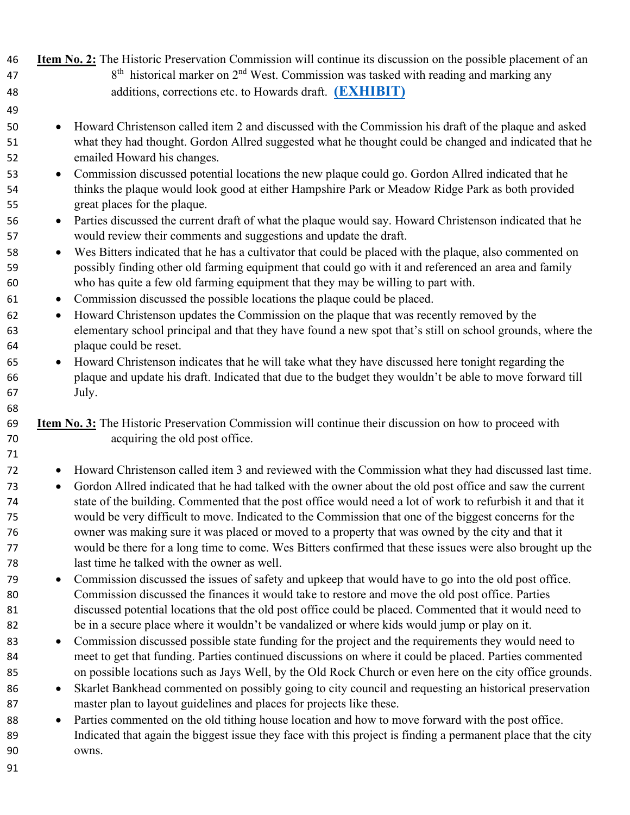**Item No. 2:** The Historic Preservation Commission will continue its discussion on the possible placement of an  $8<sup>th</sup>$  historical marker on  $2<sup>nd</sup>$  West. Commission was tasked with reading and marking any additions, corrections etc. to Howards draft. **[\(EXHIBIT\)](https://providencecity.com/wp-content/uploads/2022/04/Farming-The-Life-Blood-of-the-Settlement.pdf)** • Howard Christenson called item 2 and discussed with the Commission his draft of the plaque and asked what they had thought. Gordon Allred suggested what he thought could be changed and indicated that he emailed Howard his changes. • Commission discussed potential locations the new plaque could go. Gordon Allred indicated that he thinks the plaque would look good at either Hampshire Park or Meadow Ridge Park as both provided great places for the plaque. • Parties discussed the current draft of what the plaque would say. Howard Christenson indicated that he would review their comments and suggestions and update the draft. • Wes Bitters indicated that he has a cultivator that could be placed with the plaque, also commented on possibly finding other old farming equipment that could go with it and referenced an area and family who has quite a few old farming equipment that they may be willing to part with. • Commission discussed the possible locations the plaque could be placed. • Howard Christenson updates the Commission on the plaque that was recently removed by the elementary school principal and that they have found a new spot that's still on school grounds, where the plaque could be reset. • Howard Christenson indicates that he will take what they have discussed here tonight regarding the plaque and update his draft. Indicated that due to the budget they wouldn't be able to move forward till July. **Item No. 3:** The Historic Preservation Commission will continue their discussion on how to proceed with acquiring the old post office. • Howard Christenson called item 3 and reviewed with the Commission what they had discussed last time. • Gordon Allred indicated that he had talked with the owner about the old post office and saw the current state of the building. Commented that the post office would need a lot of work to refurbish it and that it would be very difficult to move. Indicated to the Commission that one of the biggest concerns for the owner was making sure it was placed or moved to a property that was owned by the city and that it would be there for a long time to come. Wes Bitters confirmed that these issues were also brought up the last time he talked with the owner as well. • Commission discussed the issues of safety and upkeep that would have to go into the old post office. Commission discussed the finances it would take to restore and move the old post office. Parties discussed potential locations that the old post office could be placed. Commented that it would need to be in a secure place where it wouldn't be vandalized or where kids would jump or play on it. 83 • Commission discussed possible state funding for the project and the requirements they would need to meet to get that funding. Parties continued discussions on where it could be placed. Parties commented on possible locations such as Jays Well, by the Old Rock Church or even here on the city office grounds. 86 • Skarlet Bankhead commented on possibly going to city council and requesting an historical preservation master plan to layout guidelines and places for projects like these. • Parties commented on the old tithing house location and how to move forward with the post office. Indicated that again the biggest issue they face with this project is finding a permanent place that the city owns.